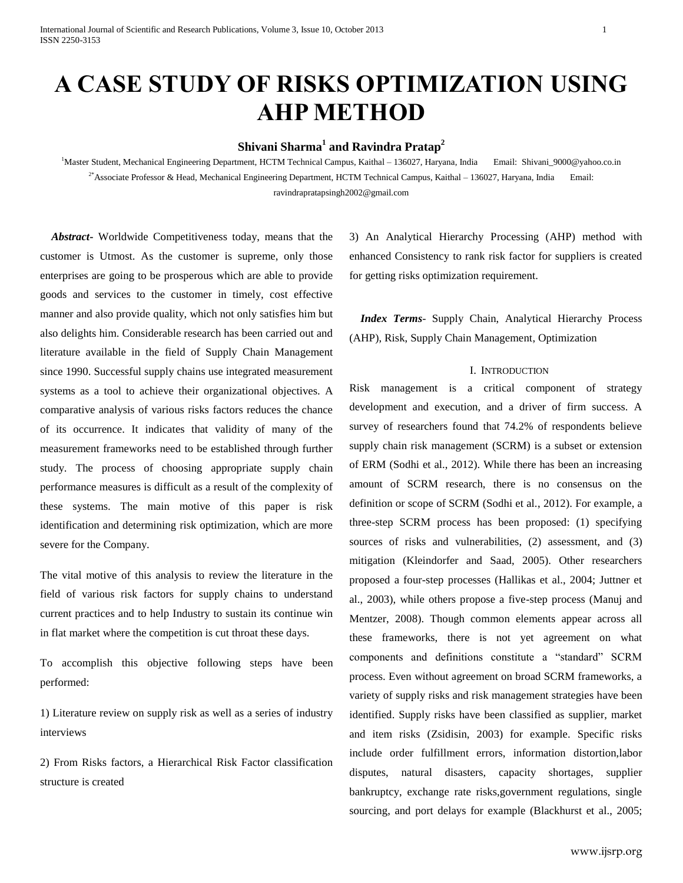# **A CASE STUDY OF RISKS OPTIMIZATION USING AHP METHOD**

# **Shivani Sharma<sup>1</sup> and Ravindra Pratap<sup>2</sup>**

<sup>1</sup>Master Student, Mechanical Engineering Department, HCTM Technical Campus, Kaithal – 136027, Haryana, India Email: Shivani\_9000@yahoo.co.in <sup>2\*</sup>Associate Professor & Head, Mechanical Engineering Department, HCTM Technical Campus, Kaithal – 136027, Haryana, India Email: [ravindrapratapsingh2002@gmail.com](mailto:ravindrapratapsingh2002@gmail.com)

 *Abstract***-** Worldwide Competitiveness today, means that the customer is Utmost. As the customer is supreme, only those enterprises are going to be prosperous which are able to provide goods and services to the customer in timely, cost effective manner and also provide quality, which not only satisfies him but also delights him. Considerable research has been carried out and literature available in the field of Supply Chain Management since 1990. Successful supply chains use integrated measurement systems as a tool to achieve their organizational objectives. A comparative analysis of various risks factors reduces the chance of its occurrence. It indicates that validity of many of the measurement frameworks need to be established through further study. The process of choosing appropriate supply chain performance measures is difficult as a result of the complexity of these systems. The main motive of this paper is risk identification and determining risk optimization, which are more severe for the Company.

The vital motive of this analysis to review the literature in the field of various risk factors for supply chains to understand current practices and to help Industry to sustain its continue win in flat market where the competition is cut throat these days.

To accomplish this objective following steps have been performed:

1) Literature review on supply risk as well as a series of industry interviews

2) From Risks factors, a Hierarchical Risk Factor classification structure is created

3) An Analytical Hierarchy Processing (AHP) method with enhanced Consistency to rank risk factor for suppliers is created for getting risks optimization requirement.

 *Index Terms*- Supply Chain, Analytical Hierarchy Process (AHP), Risk, Supply Chain Management, Optimization

#### I. INTRODUCTION

Risk management is a critical component of strategy development and execution, and a driver of firm success. A survey of researchers found that 74.2% of respondents believe supply chain risk management (SCRM) is a subset or extension of ERM (Sodhi et al., 2012). While there has been an increasing amount of SCRM research, there is no consensus on the definition or scope of SCRM (Sodhi et al., 2012). For example, a three-step SCRM process has been proposed: (1) specifying sources of risks and vulnerabilities, (2) assessment, and (3) mitigation (Kleindorfer and Saad, 2005). Other researchers proposed a four-step processes (Hallikas et al., 2004; Juttner et al., 2003), while others propose a five-step process (Manuj and Mentzer, 2008). Though common elements appear across all these frameworks, there is not yet agreement on what components and definitions constitute a "standard" SCRM process. Even without agreement on broad SCRM frameworks, a variety of supply risks and risk management strategies have been identified. Supply risks have been classified as supplier, market and item risks (Zsidisin, 2003) for example. Specific risks include order fulfillment errors, information distortion,labor disputes, natural disasters, capacity shortages, supplier bankruptcy, exchange rate risks,government regulations, single sourcing, and port delays for example (Blackhurst et al., 2005;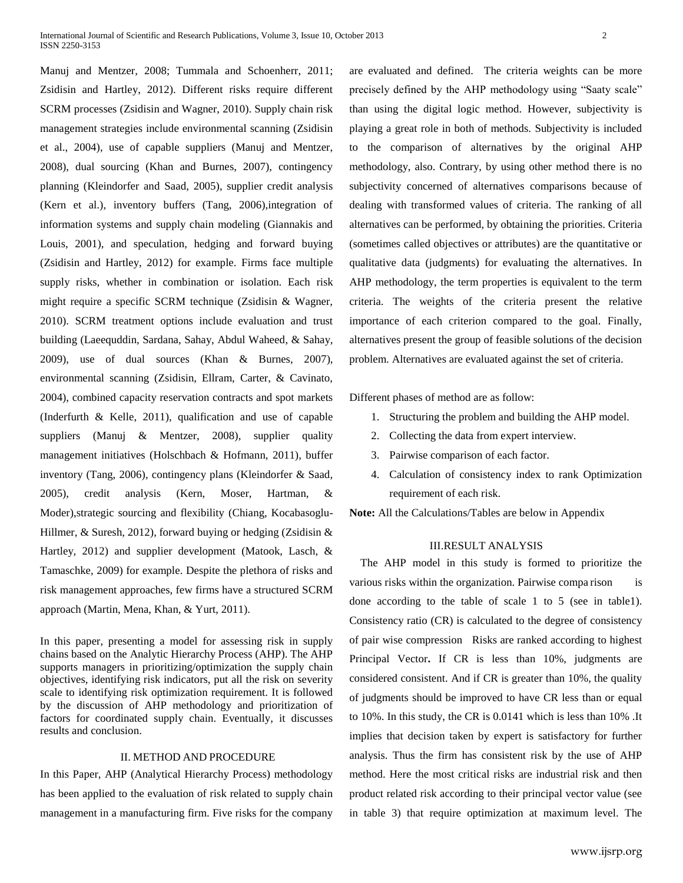Manuj and Mentzer, 2008; Tummala and Schoenherr, 2011; Zsidisin and Hartley, 2012). Different risks require different SCRM processes (Zsidisin and Wagner, 2010). Supply chain risk management strategies include environmental scanning (Zsidisin et al., 2004), use of capable suppliers (Manuj and Mentzer, 2008), dual sourcing (Khan and Burnes, 2007), contingency planning (Kleindorfer and Saad, 2005), supplier credit analysis (Kern et al.), inventory buffers (Tang, 2006),integration of information systems and supply chain modeling (Giannakis and Louis, 2001), and speculation, hedging and forward buying (Zsidisin and Hartley, 2012) for example. Firms face multiple supply risks, whether in combination or isolation. Each risk might require a specific SCRM technique (Zsidisin & Wagner, 2010). SCRM treatment options include evaluation and trust building (Laeequddin, Sardana, Sahay, Abdul Waheed, & Sahay, 2009), use of dual sources (Khan & Burnes, 2007), environmental scanning (Zsidisin, Ellram, Carter, & Cavinato, 2004), combined capacity reservation contracts and spot markets (Inderfurth & Kelle, 2011), qualification and use of capable suppliers (Manuj & Mentzer, 2008), supplier quality management initiatives (Holschbach & Hofmann, 2011), buffer inventory (Tang, 2006), contingency plans (Kleindorfer & Saad, 2005), credit analysis (Kern, Moser, Hartman, & Moder),strategic sourcing and flexibility (Chiang, Kocabasoglu-Hillmer, & Suresh, 2012), forward buying or hedging (Zsidisin & Hartley, 2012) and supplier development (Matook, Lasch, & Tamaschke, 2009) for example. Despite the plethora of risks and risk management approaches, few firms have a structured SCRM approach (Martin, Mena, Khan, & Yurt, 2011).

In this paper, presenting a model for assessing risk in supply chains based on the Analytic Hierarchy Process (AHP). The AHP supports managers in prioritizing/optimization the supply chain objectives, identifying risk indicators, put all the risk on severity scale to identifying risk optimization requirement. It is followed by the discussion of AHP methodology and prioritization of factors for coordinated supply chain. Eventually, it discusses results and conclusion.

#### II. METHOD AND PROCEDURE

In this Paper, AHP (Analytical Hierarchy Process) methodology has been applied to the evaluation of risk related to supply chain management in a manufacturing firm. Five risks for the company are evaluated and defined. The criteria weights can be more precisely defined by the AHP methodology using "Saaty scale" than using the digital logic method. However, subjectivity is playing a great role in both of methods. Subjectivity is included to the comparison of alternatives by the original AHP methodology, also. Contrary, by using other method there is no subjectivity concerned of alternatives comparisons because of dealing with transformed values of criteria. The ranking of all alternatives can be performed, by obtaining the priorities. Criteria (sometimes called objectives or attributes) are the quantitative or qualitative data (judgments) for evaluating the alternatives. In AHP methodology, the term properties is equivalent to the term criteria. The weights of the criteria present the relative importance of each criterion compared to the goal. Finally, alternatives present the group of feasible solutions of the decision problem. Alternatives are evaluated against the set of criteria.

Different phases of method are as follow:

- 1. Structuring the problem and building the AHP model.
- 2. Collecting the data from expert interview.
- 3. Pairwise comparison of each factor.
- 4. Calculation of consistency index to rank Optimization requirement of each risk.

**Note:** All the Calculations/Tables are below in Appendix

#### III.RESULT ANALYSIS

 The AHP model in this study is formed to prioritize the various risks within the organization. Pairwise comparison is done according to the table of scale 1 to 5 (see in table1). Consistency ratio (CR) is calculated to the degree of consistency of pair wise compression Risks are ranked according to highest Principal Vector**.** If CR is less than 10%, judgments are considered consistent. And if CR is greater than 10%, the quality of judgments should be improved to have CR less than or equal to 10%. In this study, the CR is 0.0141 which is less than 10% .It implies that decision taken by expert is satisfactory for further analysis. Thus the firm has consistent risk by the use of AHP method. Here the most critical risks are industrial risk and then product related risk according to their principal vector value (see in table 3) that require optimization at maximum level. The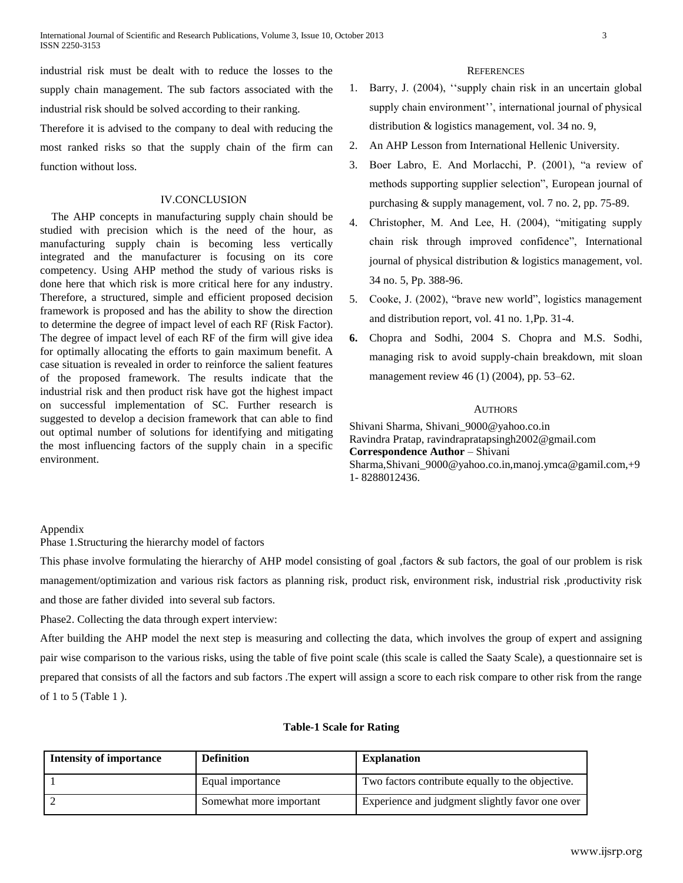industrial risk must be dealt with to reduce the losses to the supply chain management. The sub factors associated with the industrial risk should be solved according to their ranking.

Therefore it is advised to the company to deal with reducing the most ranked risks so that the supply chain of the firm can function without loss.

#### IV.CONCLUSION

The AHP concepts in manufacturing supply chain should be studied with precision which is the need of the hour, as manufacturing supply chain is becoming less vertically integrated and the manufacturer is focusing on its core competency. Using AHP method the study of various risks is done here that which risk is more critical here for any industry. Therefore, a structured, simple and efficient proposed decision framework is proposed and has the ability to show the direction to determine the degree of impact level of each RF (Risk Factor). The degree of impact level of each RF of the firm will give idea for optimally allocating the efforts to gain maximum benefit. A case situation is revealed in order to reinforce the salient features of the proposed framework. The results indicate that the industrial risk and then product risk have got the highest impact on successful implementation of SC. Further research is suggested to develop a decision framework that can able to find out optimal number of solutions for identifying and mitigating the most influencing factors of the supply chain in a specific environment.

## **REFERENCES**

- 1. Barry, J. (2004), ''supply chain risk in an uncertain global supply chain environment'', international journal of physical distribution & logistics management, vol. 34 no. 9,
- 2. An AHP Lesson from International Hellenic University.
- 3. Boer Labro, E. And Morlacchi, P. (2001), "a review of methods supporting supplier selection", European journal of purchasing & supply management, vol. 7 no. 2, pp. 75-89.
- 4. Christopher, M. And Lee, H. (2004), "mitigating supply chain risk through improved confidence", International journal of physical distribution & logistics management, vol. 34 no. 5, Pp. 388-96.
- 5. Cooke, J. (2002), "brave new world", logistics management and distribution report, vol. 41 no. 1,Pp. 31-4.
- **6.** [Chopra and Sodhi, 2004](http://www.sciencedirect.com/science?_ob=ArticleURL&_udi=B6VB7-4R7RS8J-1&_user=4434030&_coverDate=04%2F30%2F2009&_alid=1630105172&_rdoc=44&_fmt=high&_orig=mlkt&_origin=mlkt&_zone=rslt_list_item&_cdi=5919&_sort=v&_st=17&_docanchor=&view=c&_ct=341&_acct=C000063122&_version=1&_urlVersion=0&_userid=4434030&md5=46b78b4610ef9e9e1930a5722d1c8cbc&searchtype=a#bbib5) S. Chopra and M.S. Sodhi, managing risk to avoid supply-chain breakdown, mit sloan management review 46 (1) (2004), pp. 53–62.

#### AUTHORS

Shivani Sharma, Shivani\_9000@yahoo.co.in Ravindra Pratap, ravindrapratapsingh2002@gmail.com **Correspondence Author** – Shivani Sharma,Shivani\_9000@yahoo.co.in,manoj.ymca@gamil.com,+9 1- 8288012436.

#### Appendix

Phase 1.Structuring the hierarchy model of factors

This phase involve formulating the hierarchy of AHP model consisting of goal ,factors & sub factors, the goal of our problem is risk management/optimization and various risk factors as planning risk, product risk, environment risk, industrial risk ,productivity risk and those are father divided into several sub factors.

Phase2. Collecting the data through expert interview:

After building the AHP model the next step is measuring and collecting the data, which involves the group of expert and assigning pair wise comparison to the various risks, using the table of five point scale (this scale is called the Saaty Scale), a questionnaire set is prepared that consists of all the factors and sub factors .The expert will assign a score to each risk compare to other risk from the range of 1 to 5 (Table 1 ).

#### **Table-1 Scale for Rating**

| <b>Intensity of importance</b> | <b>Definition</b>       | <b>Explanation</b>                               |
|--------------------------------|-------------------------|--------------------------------------------------|
|                                | Equal importance        | Two factors contribute equally to the objective. |
|                                | Somewhat more important | Experience and judgment slightly favor one over  |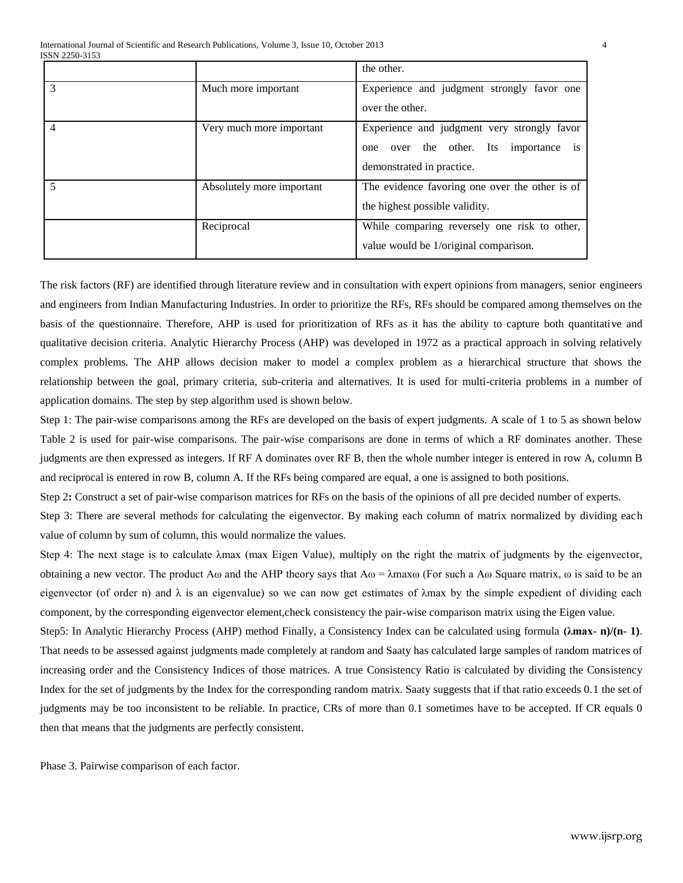|   |                           | the other.                                                                                                                           |
|---|---------------------------|--------------------------------------------------------------------------------------------------------------------------------------|
| 3 | Much more important       | Experience and judgment strongly favor one<br>over the other.                                                                        |
| 4 | Very much more important  | Experience and judgment very strongly favor<br>over the other. Its importance<br>$\overline{1}S$<br>one<br>demonstrated in practice. |
| 5 | Absolutely more important | The evidence favoring one over the other is of<br>the highest possible validity.                                                     |
|   | Reciprocal                | While comparing reversely one risk to other,<br>value would be 1/original comparison.                                                |

The risk factors (RF) are identified through literature review and in consultation with expert opinions from managers, senior engineers and engineers from Indian Manufacturing Industries. In order to prioritize the RFs, RFs should be compared among themselves on the basis of the questionnaire. Therefore, AHP is used for prioritization of RFs as it has the ability to capture both quantitative and qualitative decision criteria. Analytic Hierarchy Process (AHP) was developed in 1972 as a practical approach in solving relatively complex problems. The AHP allows decision maker to model a complex problem as a hierarchical structure that shows the relationship between the goal, primary criteria, sub-criteria and alternatives. It is used for multi-criteria problems in a number of application domains. The step by step algorithm used is shown below.

Step 1: The pair-wise comparisons among the RFs are developed on the basis of expert judgments. A scale of 1 to 5 as shown below Table 2 is used for pair-wise comparisons. The pair-wise comparisons are done in terms of which a RF dominates another. These judgments are then expressed as integers. If RF A dominates over RF B, then the whole number integer is entered in row A, column B and reciprocal is entered in row B, column A. If the RFs being compared are equal, a one is assigned to both positions.

Step 2**:** Construct a set of pair-wise comparison matrices for RFs on the basis of the opinions of all pre decided number of experts.

Step 3: There are several methods for calculating the eigenvector. By making each column of matrix normalized by dividing each value of column by sum of column, this would normalize the values.

Step 4: The next stage is to calculate λmax (max Eigen Value), multiply on the right the matrix of judgments by the eigenvector, obtaining a new vector. The product A $\omega$  and the AHP theory says that A $\omega$  =  $\lambda$ max $\omega$  (For such a A $\omega$  Square matrix,  $\omega$  is said to be an eigenvector (of order n) and  $\lambda$  is an eigenvalue) so we can now get estimates of  $\lambda$ max by the simple expedient of dividing each component, by the corresponding eigenvector element,check consistency the pair-wise comparison matrix using the Eigen value.

Step5: In Analytic Hierarchy Process (AHP) method Finally, a Consistency Index can be calculated using formula **(λmax- n)/(n- 1)**. That needs to be assessed against judgments made completely at random and Saaty has calculated large samples of random matrices of increasing order and the Consistency Indices of those matrices. A true Consistency Ratio is calculated by dividing the Consistency Index for the set of judgments by the Index for the corresponding random matrix. Saaty suggests that if that ratio exceeds 0.1 the set of judgments may be too inconsistent to be reliable. In practice, CRs of more than 0.1 sometimes have to be accepted. If CR equals 0 then that means that the judgments are perfectly consistent.

Phase 3. Pairwise comparison of each factor.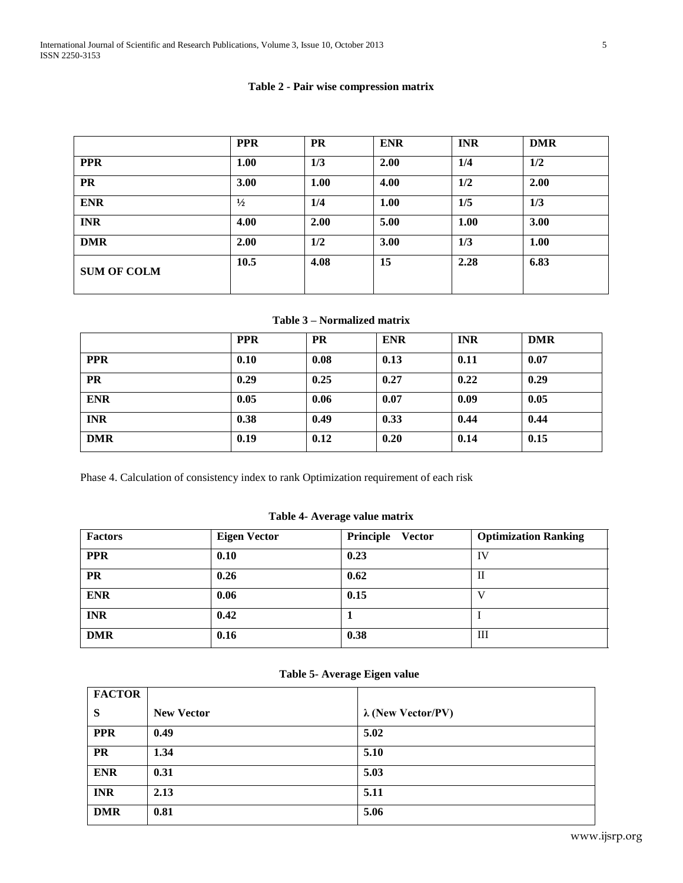## **Table 2 - Pair wise compression matrix**

|                    | <b>PPR</b>    | <b>PR</b> | <b>ENR</b> | <b>INR</b> | <b>DMR</b>  |
|--------------------|---------------|-----------|------------|------------|-------------|
| <b>PPR</b>         | 1.00          | 1/3       | 2.00       | 1/4        | 1/2         |
| <b>PR</b>          | 3.00          | 1.00      | 4.00       | 1/2        | 2.00        |
| <b>ENR</b>         | $\frac{1}{2}$ | 1/4       | 1.00       | 1/5        | 1/3         |
| <b>INR</b>         | 4.00          | 2.00      | 5.00       | 1.00       | <b>3.00</b> |
| <b>DMR</b>         | 2.00          | 1/2       | 3.00       | 1/3        | 1.00        |
| <b>SUM OF COLM</b> | 10.5          | 4.08      | 15         | 2.28       | 6.83        |

# **Table 3 – Normalized matrix**

|            | <b>PPR</b> | <b>PR</b> | <b>ENR</b> | <b>INR</b> | <b>DMR</b> |
|------------|------------|-----------|------------|------------|------------|
| <b>PPR</b> | 0.10       | 0.08      | 0.13       | 0.11       | 0.07       |
| <b>PR</b>  | 0.29       | 0.25      | 0.27       | 0.22       | 0.29       |
| <b>ENR</b> | 0.05       | 0.06      | 0.07       | 0.09       | 0.05       |
| <b>INR</b> | 0.38       | 0.49      | 0.33       | 0.44       | 0.44       |
| <b>DMR</b> | 0.19       | 0.12      | 0.20       | 0.14       | 0.15       |

Phase 4. Calculation of consistency index to rank Optimization requirement of each risk

## **Table 4- Average value matrix**

| <b>Factors</b> | <b>Eigen Vector</b> | Principle Vector | <b>Optimization Ranking</b> |
|----------------|---------------------|------------------|-----------------------------|
| <b>PPR</b>     | 0.10                | 0.23             | IV                          |
| <b>PR</b>      | 0.26                | 0.62             | -11                         |
| <b>ENR</b>     | 0.06                | 0.15             |                             |
| <b>INR</b>     | 0.42                |                  |                             |
| <b>DMR</b>     | 0.16                | 0.38             | Ш                           |

## **Table 5- Average Eigen value**

| <b>FACTOR</b> |                   |                           |  |
|---------------|-------------------|---------------------------|--|
| S             | <b>New Vector</b> | $\lambda$ (New Vector/PV) |  |
| <b>PPR</b>    | 0.49              | 5.02                      |  |
| <b>PR</b>     | 1.34              | 5.10                      |  |
| <b>ENR</b>    | 0.31              | 5.03                      |  |
| <b>INR</b>    | 2.13              | 5.11                      |  |
| <b>DMR</b>    | 0.81              | 5.06                      |  |